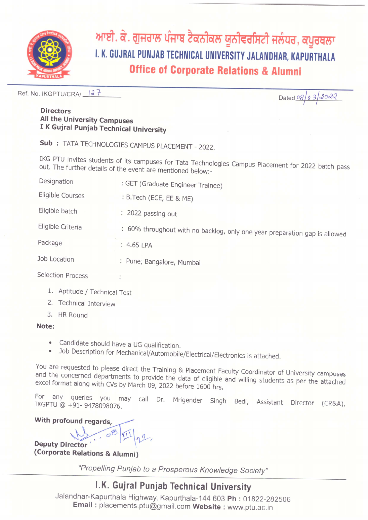

ਆਈ. ਕੇ. ਗੁਜਰਾਲ ਪੰਜਾਬ ਟੈਕਨੀਕਲ ਯੂਨੀਵਰਸਿਟੀ ਜਲੰਧਰ, ਕਪੂਰਥਲਾ I. K. GUJRAL PUNJAB TECHNICAL UNIVERSITY JALANDHAR, KAPURTHALA **Office of Corporate Relations & Alumni** 

Ref. No. IKGPTU/CRA/ 127

 $0.32022$ Dated <sub>O</sub>g

## **Directors All the University Campuses** I K Gujral Punjab Technical University

Sub: TATA TECHNOLOGIES CAMPUS PLACEMENT - 2022.

IKG PTU invites students of its campuses for Tata Technologies Campus Placement for 2022 batch pass out. The further details of the event are mentioned below:-

| Designation               | : GET (Graduate Engineer Trainee)                                          |
|---------------------------|----------------------------------------------------------------------------|
| Eligible Courses          | : B.Tech (ECE, EE & ME)                                                    |
| Eligible batch            | : 2022 passing out                                                         |
| Eligible Criteria         | : 60% throughout with no backlog, only one year preparation gap is allowed |
| Package                   | : 4.65 LPA                                                                 |
| Job Location              | : Pune; Bangalore, Mumbai                                                  |
| Selection Process         |                                                                            |
| Aptitude / Technical Test |                                                                            |

- 2. Technical Interview
- 3. HR Round

### Note:

- Candidate should have a UG qualification.
- Job Description for Mechanical/Automobile/Electrical/Electronics is attached.  $\bullet$

You are requested to please direct the Training & Placement Faculty Coordinator of University campuses and the concerned departments to provide the data of eligible and willing students as per the attached excel format along with CVs by March 09, 2022 before 1600 hrs.

For any queries you may call Dr. Mrigender Singh Bedi, Assistant Director (CR&A), IKGPTU @ +91- 9478098076.

With profound regards,

 $\int_{0}^{2}$ **Deputy Director** (Corporate Relations & Alumni)

"Propelling Punjab to a Prosperous Knowledge Society"

# I.K. Gujral Punjab Technical University

Jalandhar-Kapurthala Highway, Kapurthala-144 603 Ph: 01822-282506 Email: placements.ptu@gmail.com Website: www.ptu.ac.in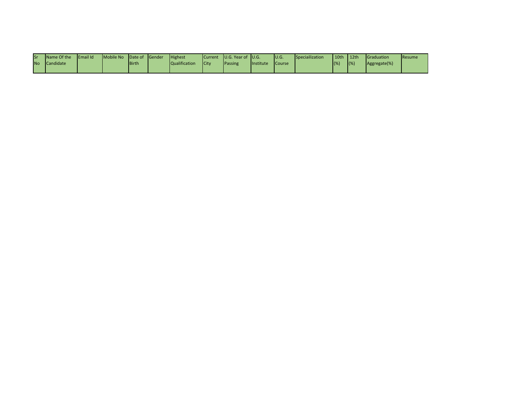| <b>Sr</b> | Name Of the      | <b>Email Id</b> | Mobile No Date of Gender |              | <b>Highest</b>       |               | Current U.G. Year of U.G. |                  | <b>IU.G.</b>  | <b>Speciallization</b> | 10 <sub>th</sub> | 12 <sub>th</sub> | <b>Graduation</b> | Resume |
|-----------|------------------|-----------------|--------------------------|--------------|----------------------|---------------|---------------------------|------------------|---------------|------------------------|------------------|------------------|-------------------|--------|
| <b>No</b> | <b>Candidate</b> |                 |                          | <b>Birth</b> | <b>Qualification</b> | <b>I</b> City | Passing                   | <b>Institute</b> | <b>Course</b> |                        | (% )             | (%)              | Aggregate(%)      |        |
|           |                  |                 |                          |              |                      |               |                           |                  |               |                        |                  |                  |                   |        |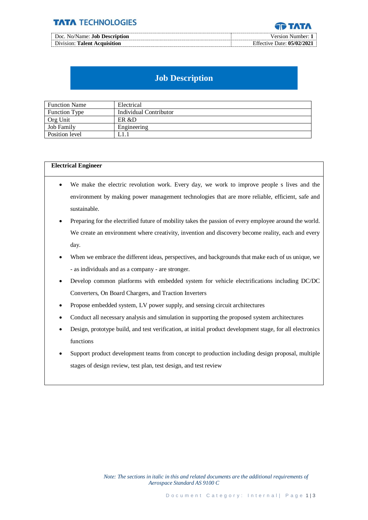# **TA TECHNOLOGIES**



Doc. No/Name: **Job Description** Version Number: **1** Division: **Talent Acquisition** Effective Date: **05/02/2021**

# **Job Description**

| <b>Function Name</b> | Electrical             |
|----------------------|------------------------|
| Function Type        | Individual Contributor |
| Org Unit             | ER &D                  |
| Job Family           | Engineering            |
| Position level       |                        |

### **Electrical Engineer**

- We make the electric revolution work. Every day, we work to improve people s lives and the environment by making power management technologies that are more reliable, efficient, safe and sustainable.
- Preparing for the electrified future of mobility takes the passion of every employee around the world. We create an environment where creativity, invention and discovery become reality, each and every day.
- When we embrace the different ideas, perspectives, and backgrounds that make each of us unique, we - as individuals and as a company - are stronger.
- Develop common platforms with embedded system for vehicle electrifications including DC/DC Converters, On Board Chargers, and Traction Inverters
- Propose embedded system, LV power supply, and sensing circuit architectures
- Conduct all necessary analysis and simulation in supporting the proposed system architectures
- Design, prototype build, and test verification, at initial product development stage, for all electronics functions
- Support product development teams from concept to production including design proposal, multiple stages of design review, test plan, test design, and test review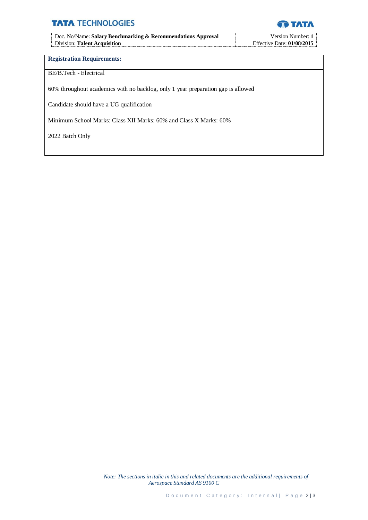## **TATA TECHNOLOGIES**



Doc. No/Name: Salary Benchmarking & Recommendations Approval Version Number: 1 Division: **Talent Acquisition** Effective Date: **01/08/2015**

### **Registration Requirements:**

BE/B.Tech - Electrical

60% throughout academics with no backlog, only 1 year preparation gap is allowed

Candidate should have a UG qualification

Minimum School Marks: Class XII Marks: 60% and Class X Marks: 60%

2022 Batch Only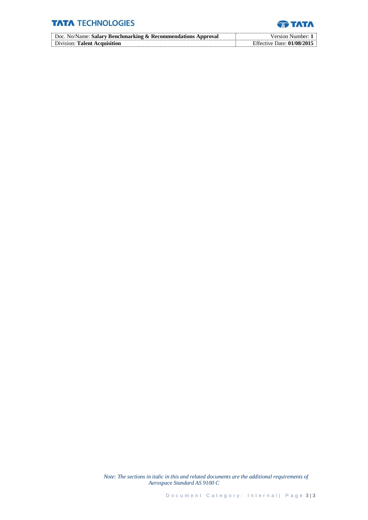# **TATA TECHNOLOGIES**



| <b>Doc. No/Name: Salary Benchmarking &amp; Recommendations Approval</b> | Version Number: 1            |
|-------------------------------------------------------------------------|------------------------------|
| <b>Division: Talent Acquisition</b>                                     | Effective Date: $01/08/2015$ |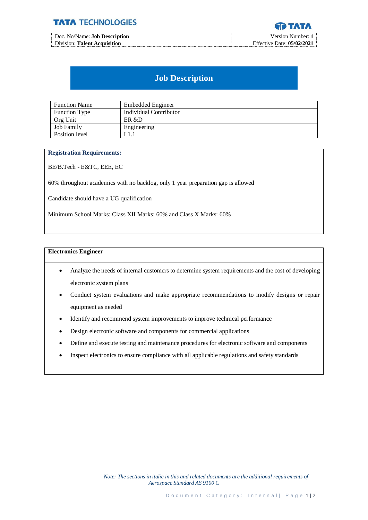# **TA TECHNOLOGIES**

| Jarsian Number |
|----------------|

Doc. No/Name: **Job Description** Version Number: Division: **Talent Acquisition** Effective Date: **05/02/2021**

# **Job Description**

| <b>Function Name</b> | <b>Embedded Engineer</b> |
|----------------------|--------------------------|
| Function Type        | Individual Contributor   |
| Org Unit             | ER &D                    |
| Job Family           | Engineering              |
| Position level       |                          |

#### **Registration Requirements:**

BE/B.Tech - E&TC, EEE, EC

60% throughout academics with no backlog, only 1 year preparation gap is allowed

Candidate should have a UG qualification

Minimum School Marks: Class XII Marks: 60% and Class X Marks: 60%

#### **Electronics Engineer**

- Analyze the needs of internal customers to determine system requirements and the cost of developing electronic system plans
- Conduct system evaluations and make appropriate recommendations to modify designs or repair equipment as needed
- Identify and recommend system improvements to improve technical performance
- Design electronic software and components for commercial applications
- Define and execute testing and maintenance procedures for electronic software and components
- Inspect electronics to ensure compliance with all applicable regulations and safety standards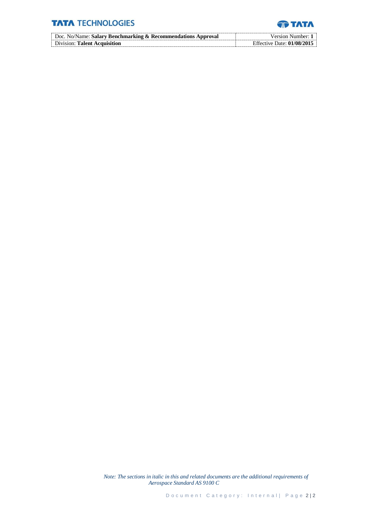# **TATA TECHNOLOGIES**



| . No/Name: Salary Benchmarking $\&$ Recommendations Approval<br>Doc. | Version Number:                   |
|----------------------------------------------------------------------|-----------------------------------|
| Division: Talent Acquisition                                         | <b>Effective Date: 01/08/2015</b> |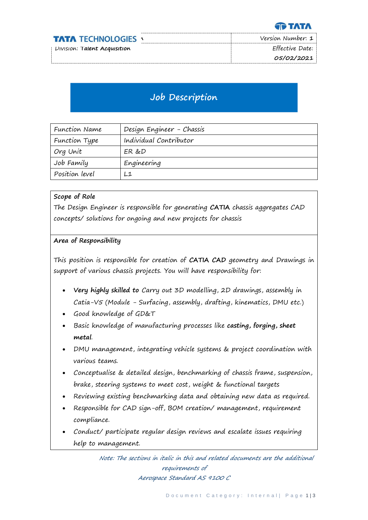| <b>TATA TECHNOLOGIES</b>     | Version Number: 1 |
|------------------------------|-------------------|
| Division: Talent Acquisition | Effective Date: 1 |
|                              | 05/02/2021        |

THE TATA

# **Job Description**

| Function Name  | Design Engineer - Chassis |  |  |
|----------------|---------------------------|--|--|
| Function Type  | Individual Contributor    |  |  |
| Org Unit       | ER &D                     |  |  |
| Job Family     | Engineering               |  |  |
| Position level | L1                        |  |  |

### **Scope of Role**

The Design Engineer is responsible for generating **CATIA** chassis aggregates CAD concepts/ solutions for ongoing and new projects for chassis

### **Area of Responsibility**

This position is responsible for creation of **CATIA CAD** geometry and Drawings in support of various chassis projects. You will have responsibility for:

- **Very highly skilled to** Carry out 3D modelling, 2D drawings, assembly in Catia-V5 (Module - Surfacing, assembly, drafting, kinematics, DMU etc.)
- Good knowledge of GD&T
- Basic knowledge of manufacturing processes like **casting, forging, sheet metal**.
- DMU management, integrating vehicle systems & project coordination with various teams.
- Conceptualise & detailed design, benchmarking of chassis frame, suspension, brake, steering systems to meet cost, weight & functional targets
- Reviewing existing benchmarking data and obtaining new data as required.
- Responsible for CAD sign-off, BOM creation/ management, requirement compliance.
- Conduct/ participate regular design reviews and escalate issues requiring help to management.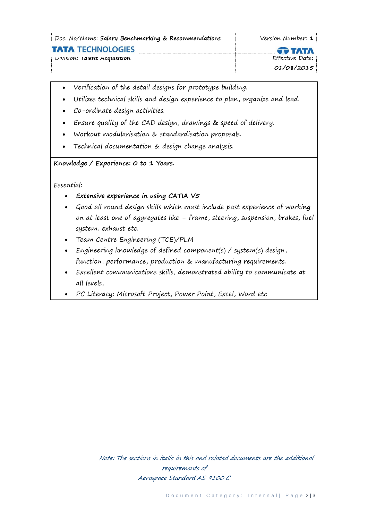| Doc. No/Name: Salary Benchmarking & Recommendations | Version Number: 1 |
|-----------------------------------------------------|-------------------|
| <b>TATA TECHNOLOGIES</b>                            | <b>TRIATA</b>     |
| $\mathcal P$ Division: Talent Acquisition           | Effective Date:   |
|                                                     | 01/08/2015        |

- Verification of the detail designs for prototype building.
- Utilizes technical skills and design experience to plan, organize and lead.
- Co-ordinate design activities.
- Ensure quality of the CAD design, drawings & speed of delivery.
- Workout modularisation & standardisation proposals.
- Technical documentation & design change analysis.

### **Knowledge / Experience: 0 to 1 Years.**

Essential:

- **Extensive experience in using CATIA V5**
- Good all round design skills which must include past experience of working on at least one of aggregates like – frame, steering, suspension, brakes, fuel system, exhaust etc.
- Team Centre Engineering (TCE)/PLM
- Engineering knowledge of defined component(s) / system(s) design, function, performance, production & manufacturing requirements.
- Excellent communications skills, demonstrated ability to communicate at all levels,
- PC Literacy: Microsoft Project, Power Point, Excel, Word etc